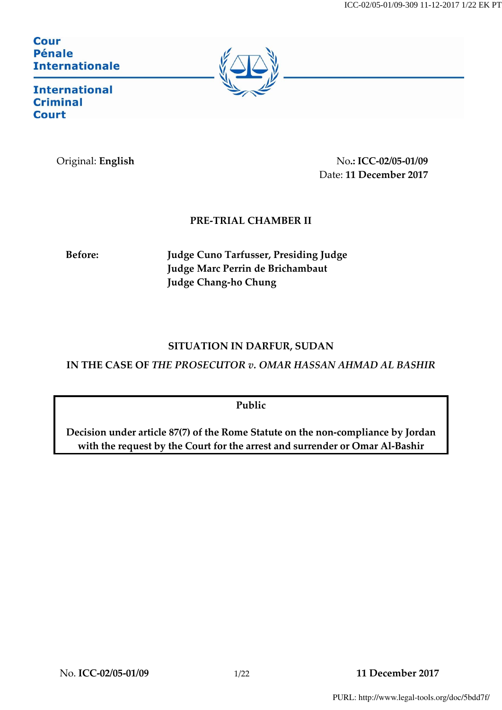ICC-02/05-01/09-309 11-12-2017 1/22 EK PT

**Cour Pénale Internationale** 



**International Criminal Court** 

Original: **English** No**.: ICC-02/05-01/09** Date: **11 December 2017**

# **PRE-TRIAL CHAMBER II**

**Before: Judge Cuno Tarfusser, Presiding Judge Judge Marc Perrin de Brichambaut Judge Chang-ho Chung**

# **SITUATION IN DARFUR, SUDAN**

**IN THE CASE OF** *THE PROSECUTOR v. OMAR HASSAN AHMAD AL BASHIR*

# **Public**

**Decision under article 87(7) of the Rome Statute on the non-compliance by Jordan with the request by the Court for the arrest and surrender or Omar Al-Bashir**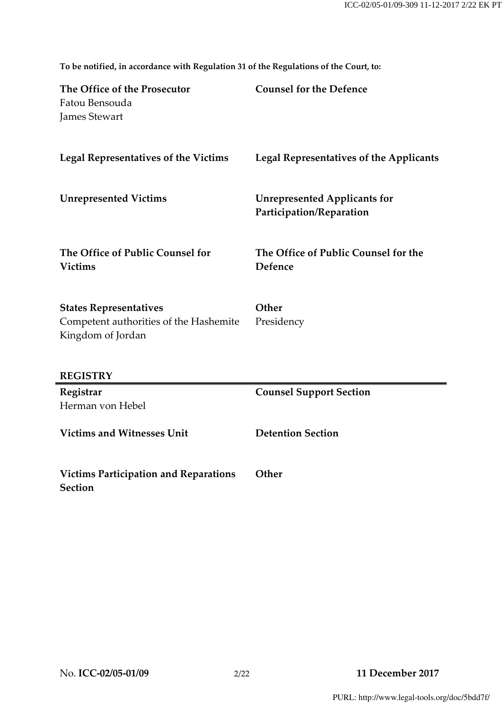**The Office of the Prosecutor** Fatou Bensouda James Stewart **Counsel for the Defence Legal Representatives of the Victims Legal Representatives of the Applicants Unrepresented Victims Unrepresented Applicants for Participation/Reparation The Office of Public Counsel for Victims The Office of Public Counsel for the Defence States Representatives** Competent authorities of the Hashemite Kingdom of Jordan **REGISTRY Other** Presidency **Registrar**  Herman von Hebel **Counsel Support Section Victims and Witnesses Unit Detention Section Victims Participation and Reparations Section Other**

**To be notified, in accordance with Regulation 31 of the Regulations of the Court, to:**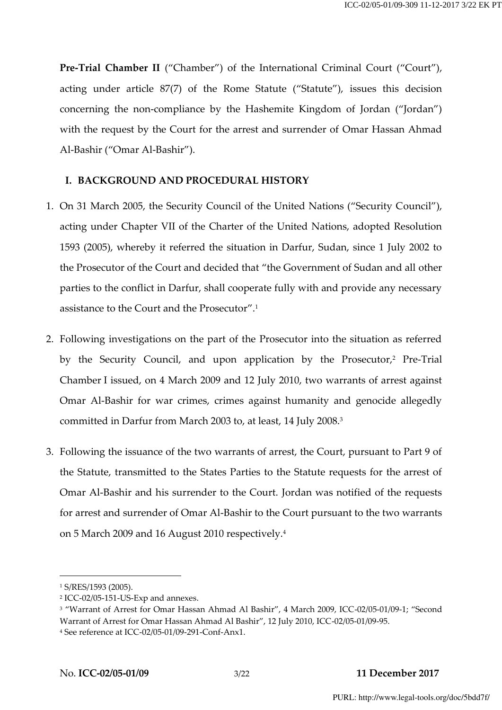**Pre-Trial Chamber II** ("Chamber") of the International Criminal Court ("Court"), acting under article 87(7) of the Rome Statute ("Statute"), issues this decision concerning the non-compliance by the Hashemite Kingdom of Jordan ("Jordan") with the request by the Court for the arrest and surrender of Omar Hassan Ahmad Al-Bashir ("Omar Al-Bashir").

## **I. BACKGROUND AND PROCEDURAL HISTORY**

- 1. On 31 March 2005, the Security Council of the United Nations ("Security Council"), acting under Chapter VII of the Charter of the United Nations, adopted Resolution 1593 (2005), whereby it referred the situation in Darfur, Sudan, since 1 July 2002 to the Prosecutor of the Court and decided that "the Government of Sudan and all other parties to the conflict in Darfur, shall cooperate fully with and provide any necessary assistance to the Court and the Prosecutor".<sup>1</sup>
- 2. Following investigations on the part of the Prosecutor into the situation as referred by the Security Council, and upon application by the Prosecutor,<sup>2</sup> Pre-Trial Chamber I issued, on 4 March 2009 and 12 July 2010, two warrants of arrest against Omar Al-Bashir for war crimes, crimes against humanity and genocide allegedly committed in Darfur from March 2003 to, at least, 14 July 2008.<sup>3</sup>
- 3. Following the issuance of the two warrants of arrest, the Court, pursuant to Part 9 of the Statute, transmitted to the States Parties to the Statute requests for the arrest of Omar Al-Bashir and his surrender to the Court. Jordan was notified of the requests for arrest and surrender of Omar Al-Bashir to the Court pursuant to the two warrants on 5 March 2009 and 16 August 2010 respectively.<sup>4</sup>

<sup>1</sup> S/RES/1593 (2005).

<sup>2</sup> ICC-02/05-151-US-Exp and annexes.

<sup>&</sup>lt;sup>3</sup> "Warrant of Arrest for Omar Hassan Ahmad Al Bashir", 4 March 2009, ICC-02/05-01/09-1; "Second Warrant of Arrest for Omar Hassan Ahmad Al Bashir", 12 July 2010, ICC-02/05-01/09-95.

<sup>4</sup> See reference at ICC-02/05-01/09-291-Conf-Anx1.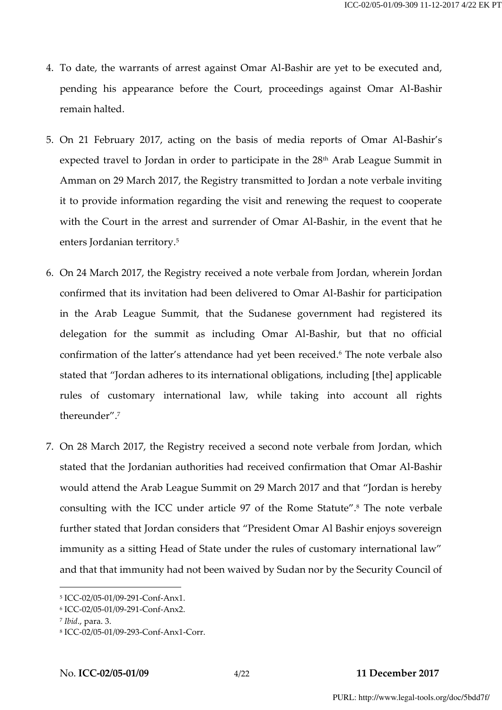- 4. To date, the warrants of arrest against Omar Al-Bashir are yet to be executed and, pending his appearance before the Court, proceedings against Omar Al-Bashir remain halted.
- 5. On 21 February 2017, acting on the basis of media reports of Omar Al-Bashir's expected travel to Jordan in order to participate in the 28<sup>th</sup> Arab League Summit in Amman on 29 March 2017, the Registry transmitted to Jordan a note verbale inviting it to provide information regarding the visit and renewing the request to cooperate with the Court in the arrest and surrender of Omar Al-Bashir, in the event that he enters Jordanian territory.<sup>5</sup>
- 6. On 24 March 2017, the Registry received a note verbale from Jordan, wherein Jordan confirmed that its invitation had been delivered to Omar Al-Bashir for participation in the Arab League Summit, that the Sudanese government had registered its delegation for the summit as including Omar Al-Bashir, but that no official confirmation of the latter's attendance had yet been received.<sup>6</sup> The note verbale also stated that "Jordan adheres to its international obligations, including [the] applicable rules of customary international law, while taking into account all rights thereunder".<sup>7</sup>
- 7. On 28 March 2017, the Registry received a second note verbale from Jordan, which stated that the Jordanian authorities had received confirmation that Omar Al-Bashir would attend the Arab League Summit on 29 March 2017 and that "Jordan is hereby consulting with the ICC under article 97 of the Rome Statute".<sup>8</sup> The note verbale further stated that Jordan considers that "President Omar Al Bashir enjoys sovereign immunity as a sitting Head of State under the rules of customary international law" and that that immunity had not been waived by Sudan nor by the Security Council of

<sup>5</sup> ICC-02/05-01/09-291-Conf-Anx1.

<sup>6</sup> ICC-02/05-01/09-291-Conf-Anx2.

<sup>7</sup> *Ibid*., para. 3.

<sup>8</sup> ICC-02/05-01/09-293-Conf-Anx1-Corr.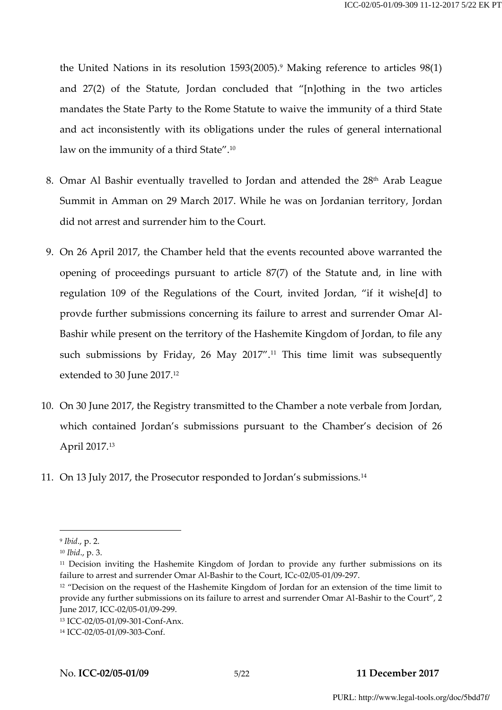the United Nations in its resolution  $1593(2005)$ .<sup>9</sup> Making reference to articles  $98(1)$ and 27(2) of the Statute, Jordan concluded that "[n]othing in the two articles mandates the State Party to the Rome Statute to waive the immunity of a third State and act inconsistently with its obligations under the rules of general international law on the immunity of a third State".<sup>10</sup>

- 8. Omar Al Bashir eventually travelled to Jordan and attended the 28<sup>th</sup> Arab League Summit in Amman on 29 March 2017. While he was on Jordanian territory, Jordan did not arrest and surrender him to the Court.
- 9. On 26 April 2017, the Chamber held that the events recounted above warranted the opening of proceedings pursuant to article 87(7) of the Statute and, in line with regulation 109 of the Regulations of the Court, invited Jordan, "if it wishe[d] to provde further submissions concerning its failure to arrest and surrender Omar Al-Bashir while present on the territory of the Hashemite Kingdom of Jordan, to file any such submissions by Friday, 26 May 2017".<sup>11</sup> This time limit was subsequently extended to 30 June 2017.<sup>12</sup>
- 10. On 30 June 2017, the Registry transmitted to the Chamber a note verbale from Jordan, which contained Jordan's submissions pursuant to the Chamber's decision of 26 April 2017.<sup>13</sup>
- 11. On 13 July 2017, the Prosecutor responded to Jordan's submissions.<sup>14</sup>

<sup>9</sup> *Ibid*., p. 2.

<sup>10</sup> *Ibid*., p. 3.

<sup>&</sup>lt;sup>11</sup> Decision inviting the Hashemite Kingdom of Jordan to provide any further submissions on its failure to arrest and surrender Omar Al-Bashir to the Court, ICc-02/05-01/09-297.

<sup>&</sup>lt;sup>12</sup> "Decision on the request of the Hashemite Kingdom of Jordan for an extension of the time limit to provide any further submissions on its failure to arrest and surrender Omar Al-Bashir to the Court", 2 June 2017, ICC-02/05-01/09-299.

<sup>13</sup> ICC-02/05-01/09-301-Conf-Anx.

<sup>14</sup> ICC-02/05-01/09-303-Conf.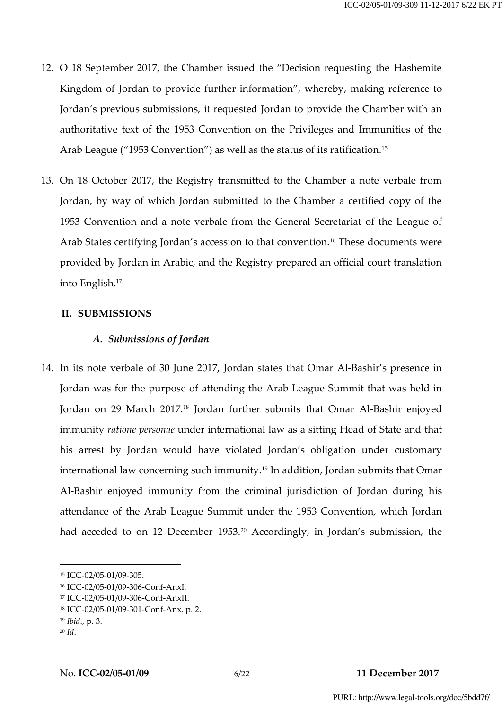- <span id="page-5-0"></span>12. O 18 September 2017, the Chamber issued the "Decision requesting the Hashemite Kingdom of Jordan to provide further information", whereby, making reference to Jordan's previous submissions, it requested Jordan to provide the Chamber with an authoritative text of the 1953 Convention on the Privileges and Immunities of the Arab League ("1953 Convention") as well as the status of its ratification.<sup>15</sup>
- 13. On 18 October 2017, the Registry transmitted to the Chamber a note verbale from Jordan, by way of which Jordan submitted to the Chamber a certified copy of the 1953 Convention and a note verbale from the General Secretariat of the League of Arab States certifying Jordan's accession to that convention.<sup>16</sup> These documents were provided by Jordan in Arabic, and the Registry prepared an official court translation into English. 17

## **II. SUBMISSIONS**

#### *A. Submissions of Jordan*

14. In its note verbale of 30 June 2017, Jordan states that Omar Al-Bashir's presence in Jordan was for the purpose of attending the Arab League Summit that was held in Jordan on 29 March 2017.<sup>18</sup> Jordan further submits that Omar Al-Bashir enjoyed immunity *ratione personae* under international law as a sitting Head of State and that his arrest by Jordan would have violated Jordan's obligation under customary international law concerning such immunity.<sup>19</sup> In addition, Jordan submits that Omar Al-Bashir enjoyed immunity from the criminal jurisdiction of Jordan during his attendance of the Arab League Summit under the 1953 Convention, which Jordan had acceded to on 12 December 1953.<sup>20</sup> Accordingly, in Jordan's submission, the

<sup>16</sup> ICC-02/05-01/09-306-Conf-AnxI.

<sup>15</sup> ICC-02/05-01/09-305.

<sup>17</sup> ICC-02/05-01/09-306-Conf-AnxII.

<sup>18</sup> ICC-02/05-01/09-301-Conf-Anx, p. 2.

<sup>19</sup> *Ibid*., p. 3.

<sup>20</sup> *Id*.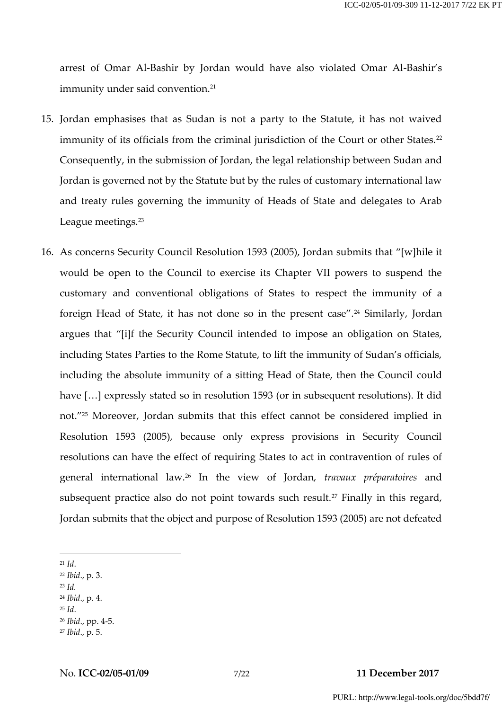arrest of Omar Al-Bashir by Jordan would have also violated Omar Al-Bashir's immunity under said convention.<sup>21</sup>

- 15. Jordan emphasises that as Sudan is not a party to the Statute, it has not waived immunity of its officials from the criminal jurisdiction of the Court or other States.<sup>22</sup> Consequently, in the submission of Jordan, the legal relationship between Sudan and Jordan is governed not by the Statute but by the rules of customary international law and treaty rules governing the immunity of Heads of State and delegates to Arab League meetings.<sup>23</sup>
- 16. As concerns Security Council Resolution 1593 (2005), Jordan submits that "[w]hile it would be open to the Council to exercise its Chapter VII powers to suspend the customary and conventional obligations of States to respect the immunity of a foreign Head of State, it has not done so in the present case".<sup>24</sup> Similarly, Jordan argues that "[i]f the Security Council intended to impose an obligation on States, including States Parties to the Rome Statute, to lift the immunity of Sudan's officials, including the absolute immunity of a sitting Head of State, then the Council could have [...] expressly stated so in resolution 1593 (or in subsequent resolutions). It did not."<sup>25</sup> Moreover, Jordan submits that this effect cannot be considered implied in Resolution 1593 (2005), because only express provisions in Security Council resolutions can have the effect of requiring States to act in contravention of rules of general international law.<sup>26</sup> In the view of Jordan, *travaux préparatoires* and subsequent practice also do not point towards such result.<sup>27</sup> Finally in this regard, Jordan submits that the object and purpose of Resolution 1593 (2005) are not defeated
	- <sup>21</sup> *Id*.

 $\overline{a}$ 

- <sup>22</sup> *Ibid*., p. 3.
- <sup>23</sup> *Id.*
- <sup>24</sup> *Ibid*., p. 4.
- <sup>25</sup> *Id*.

<sup>27</sup> *Ibid*., p. 5.

<sup>26</sup> *Ibid*., pp. 4-5.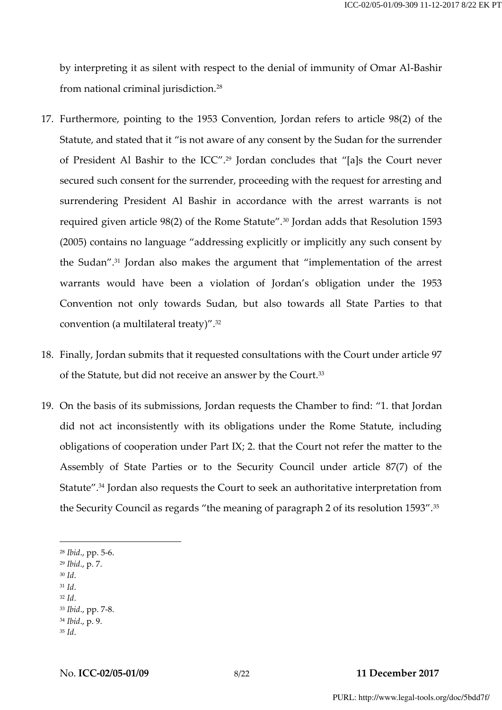by interpreting it as silent with respect to the denial of immunity of Omar Al-Bashir from national criminal jurisdiction.<sup>28</sup>

- <span id="page-7-0"></span>17. Furthermore, pointing to the 1953 Convention, Jordan refers to article 98(2) of the Statute, and stated that it "is not aware of any consent by the Sudan for the surrender of President Al Bashir to the ICC".<sup>29</sup> Jordan concludes that "[a]s the Court never secured such consent for the surrender, proceeding with the request for arresting and surrendering President Al Bashir in accordance with the arrest warrants is not required given article 98(2) of the Rome Statute".<sup>30</sup> Jordan adds that Resolution 1593 (2005) contains no language "addressing explicitly or implicitly any such consent by the Sudan".<sup>31</sup> Jordan also makes the argument that "implementation of the arrest warrants would have been a violation of Jordan's obligation under the 1953 Convention not only towards Sudan, but also towards all State Parties to that convention (a multilateral treaty)".<sup>32</sup>
- 18. Finally, Jordan submits that it requested consultations with the Court under article 97 of the Statute, but did not receive an answer by the Court.<sup>33</sup>
- 19. On the basis of its submissions, Jordan requests the Chamber to find: "1. that Jordan did not act inconsistently with its obligations under the Rome Statute, including obligations of cooperation under Part IX; 2. that the Court not refer the matter to the Assembly of State Parties or to the Security Council under article 87(7) of the Statute".<sup>34</sup> Jordan also requests the Court to seek an authoritative interpretation from the Security Council as regards "the meaning of paragraph 2 of its resolution 1593".<sup>35</sup>

<sup>30</sup> *Id*.

- <sup>31</sup> *Id*.
- <sup>32</sup> *Id*.
- <sup>33</sup> *Ibid*., pp. 7-8.
- <sup>34</sup> *Ibid*., p. 9.
- <sup>35</sup> *Id*.

<sup>28</sup> *Ibid*., pp. 5-6.

<sup>29</sup> *Ibid*., p. 7.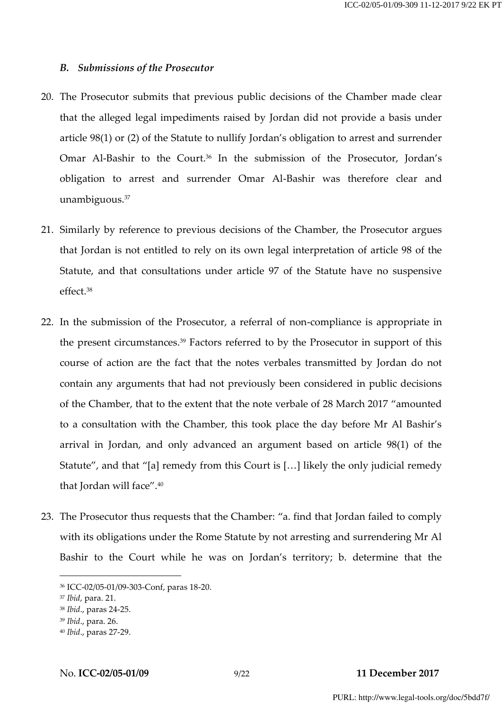#### *B. Submissions of the Prosecutor*

- 20. The Prosecutor submits that previous public decisions of the Chamber made clear that the alleged legal impediments raised by Jordan did not provide a basis under article 98(1) or (2) of the Statute to nullify Jordan's obligation to arrest and surrender Omar Al-Bashir to the Court.<sup>36</sup> In the submission of the Prosecutor, Jordan's obligation to arrest and surrender Omar Al-Bashir was therefore clear and unambiguous.<sup>37</sup>
- 21. Similarly by reference to previous decisions of the Chamber, the Prosecutor argues that Jordan is not entitled to rely on its own legal interpretation of article 98 of the Statute, and that consultations under article 97 of the Statute have no suspensive effect.<sup>38</sup>
- 22. In the submission of the Prosecutor, a referral of non-compliance is appropriate in the present circumstances.<sup>39</sup> Factors referred to by the Prosecutor in support of this course of action are the fact that the notes verbales transmitted by Jordan do not contain any arguments that had not previously been considered in public decisions of the Chamber, that to the extent that the note verbale of 28 March 2017 "amounted to a consultation with the Chamber, this took place the day before Mr Al Bashir's arrival in Jordan, and only advanced an argument based on article 98(1) of the Statute", and that "[a] remedy from this Court is […] likely the only judicial remedy that Jordan will face".<sup>40</sup>
- 23. The Prosecutor thus requests that the Chamber: "a. find that Jordan failed to comply with its obligations under the Rome Statute by not arresting and surrendering Mr Al Bashir to the Court while he was on Jordan's territory; b. determine that the

<sup>36</sup> ICC-02/05-01/09-303-Conf, paras 18-20.

<sup>37</sup> *Ibid*, para. 21.

<sup>38</sup> *Ibid*., paras 24-25.

<sup>39</sup> *Ibid*., para. 26.

<sup>40</sup> *Ibid*., paras 27-29.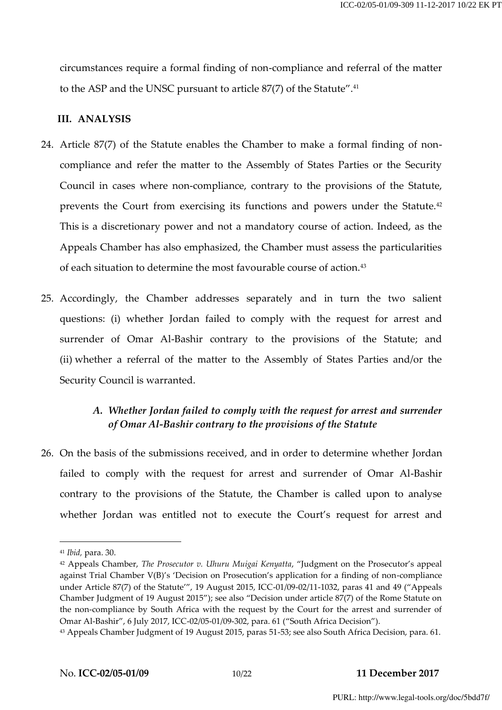circumstances require a formal finding of non-compliance and referral of the matter to the ASP and the UNSC pursuant to article 87(7) of the Statute".<sup>41</sup>

## **III. ANALYSIS**

- 24. Article 87(7) of the Statute enables the Chamber to make a formal finding of noncompliance and refer the matter to the Assembly of States Parties or the Security Council in cases where non-compliance, contrary to the provisions of the Statute, prevents the Court from exercising its functions and powers under the Statute.<sup>42</sup> This is a discretionary power and not a mandatory course of action. Indeed, as the Appeals Chamber has also emphasized, the Chamber must assess the particularities of each situation to determine the most favourable course of action.<sup>43</sup>
- 25. Accordingly, the Chamber addresses separately and in turn the two salient questions: (i) whether Jordan failed to comply with the request for arrest and surrender of Omar Al-Bashir contrary to the provisions of the Statute; and (ii) whether a referral of the matter to the Assembly of States Parties and/or the Security Council is warranted.

# *A. Whether Jordan failed to comply with the request for arrest and surrender of Omar Al-Bashir contrary to the provisions of the Statute*

26. On the basis of the submissions received, and in order to determine whether Jordan failed to comply with the request for arrest and surrender of Omar Al-Bashir contrary to the provisions of the Statute, the Chamber is called upon to analyse whether Jordan was entitled not to execute the Court's request for arrest and

<sup>41</sup> *Ibid,* para. 30.

<sup>42</sup> Appeals Chamber, *The Prosecutor v. Uhuru Muigai Kenyatta*, "Judgment on the Prosecutor's appeal against Trial Chamber V(B)'s 'Decision on Prosecution's application for a finding of non-compliance under Article 87(7) of the Statute'", 19 August 2015, ICC-01/09-02/11-1032, paras 41 and 49 ("Appeals Chamber Judgment of 19 August 2015"); see also "Decision under article 87(7) of the Rome Statute on the non-compliance by South Africa with the request by the Court for the arrest and surrender of Omar Al-Bashir", 6 July 2017, ICC-02/05-01/09-302, para. 61 ("South Africa Decision").

<sup>43</sup> Appeals Chamber Judgment of 19 August 2015, paras 51-53; see also South Africa Decision, para. 61.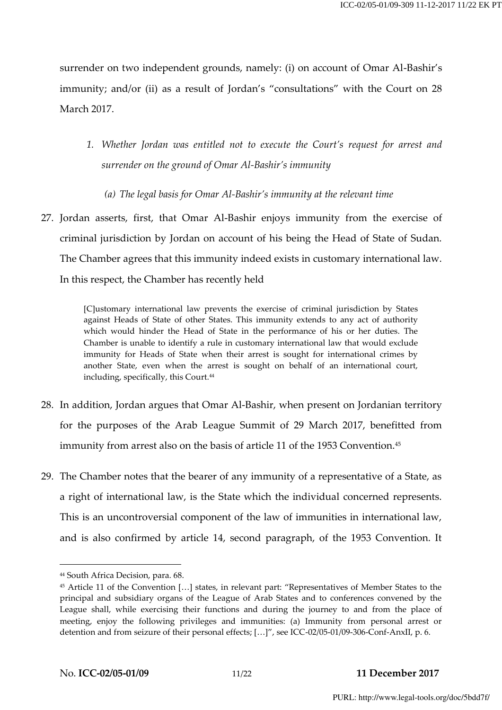surrender on two independent grounds, namely: (i) on account of Omar Al-Bashir's immunity; and/or (ii) as a result of Jordan's "consultations" with the Court on 28 March 2017.

- *1. Whether Jordan was entitled not to execute the Court's request for arrest and surrender on the ground of Omar Al-Bashir's immunity*
	- *(a) The legal basis for Omar Al-Bashir's immunity at the relevant time*
- 27. Jordan asserts, first, that Omar Al-Bashir enjoys immunity from the exercise of criminal jurisdiction by Jordan on account of his being the Head of State of Sudan. The Chamber agrees that this immunity indeed exists in customary international law. In this respect, the Chamber has recently held

[C]ustomary international law prevents the exercise of criminal jurisdiction by States against Heads of State of other States. This immunity extends to any act of authority which would hinder the Head of State in the performance of his or her duties. The Chamber is unable to identify a rule in customary international law that would exclude immunity for Heads of State when their arrest is sought for international crimes by another State, even when the arrest is sought on behalf of an international court, including, specifically, this Court.<sup>44</sup>

- 28. In addition, Jordan argues that Omar Al-Bashir, when present on Jordanian territory for the purposes of the Arab League Summit of 29 March 2017, benefitted from immunity from arrest also on the basis of article 11 of the 1953 Convention.<sup>45</sup>
- 29. The Chamber notes that the bearer of any immunity of a representative of a State, as a right of international law, is the State which the individual concerned represents. This is an uncontroversial component of the law of immunities in international law, and is also confirmed by article 14, second paragraph, of the 1953 Convention. It

<sup>44</sup> South Africa Decision, para. 68.

<sup>45</sup> Article 11 of the Convention […] states, in relevant part: "Representatives of Member States to the principal and subsidiary organs of the League of Arab States and to conferences convened by the League shall, while exercising their functions and during the journey to and from the place of meeting, enjoy the following privileges and immunities: (a) Immunity from personal arrest or detention and from seizure of their personal effects; […]", see ICC-02/05-01/09-306-Conf-AnxII, p. 6.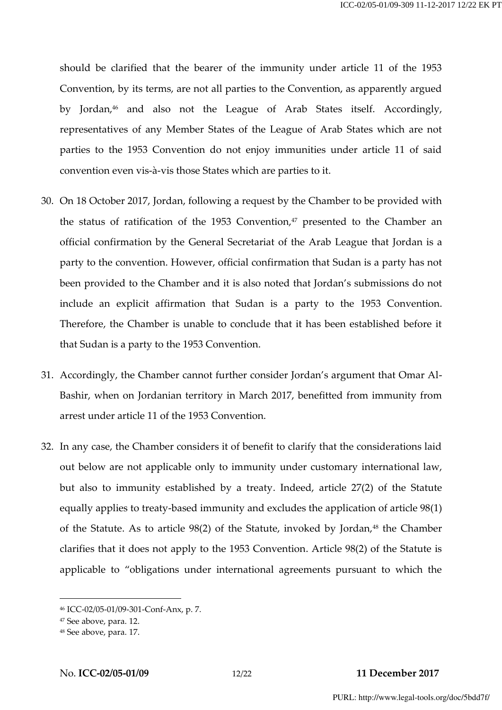should be clarified that the bearer of the immunity under article 11 of the 1953 Convention, by its terms, are not all parties to the Convention, as apparently argued by Jordan,<sup>46</sup> and also not the League of Arab States itself. Accordingly, representatives of any Member States of the League of Arab States which are not parties to the 1953 Convention do not enjoy immunities under article 11 of said convention even vis-à-vis those States which are parties to it.

- 30. On 18 October 2017, Jordan, following a request by the Chamber to be provided with the status of ratification of the 1953 Convention, <sup>47</sup> presented to the Chamber an official confirmation by the General Secretariat of the Arab League that Jordan is a party to the convention. However, official confirmation that Sudan is a party has not been provided to the Chamber and it is also noted that Jordan's submissions do not include an explicit affirmation that Sudan is a party to the 1953 Convention. Therefore, the Chamber is unable to conclude that it has been established before it that Sudan is a party to the 1953 Convention.
- 31. Accordingly, the Chamber cannot further consider Jordan's argument that Omar Al-Bashir, when on Jordanian territory in March 2017, benefitted from immunity from arrest under article 11 of the 1953 Convention.
- 32. In any case, the Chamber considers it of benefit to clarify that the considerations laid out below are not applicable only to immunity under customary international law, but also to immunity established by a treaty. Indeed, article 27(2) of the Statute equally applies to treaty-based immunity and excludes the application of article 98(1) of the Statute. As to article  $98(2)$  of the Statute, invoked by Jordan,  $48$  the Chamber clarifies that it does not apply to the 1953 Convention. Article 98(2) of the Statute is applicable to "obligations under international agreements pursuant to which the

<sup>46</sup> ICC-02/05-01/09-301-Conf-Anx, p. 7.

<sup>47</sup> See above, para. [12.](#page-5-0)

<sup>48</sup> See above, para. [17.](#page-7-0)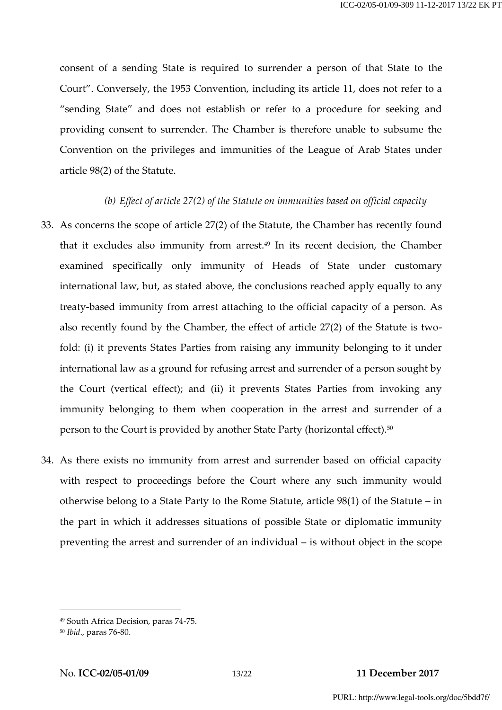consent of a sending State is required to surrender a person of that State to the Court". Conversely, the 1953 Convention, including its article 11, does not refer to a "sending State" and does not establish or refer to a procedure for seeking and providing consent to surrender. The Chamber is therefore unable to subsume the Convention on the privileges and immunities of the League of Arab States under article 98(2) of the Statute.

## *(b) Effect of article 27(2) of the Statute on immunities based on official capacity*

- 33. As concerns the scope of article 27(2) of the Statute, the Chamber has recently found that it excludes also immunity from arrest. $49$  In its recent decision, the Chamber examined specifically only immunity of Heads of State under customary international law, but, as stated above, the conclusions reached apply equally to any treaty-based immunity from arrest attaching to the official capacity of a person. As also recently found by the Chamber, the effect of article 27(2) of the Statute is twofold: (i) it prevents States Parties from raising any immunity belonging to it under international law as a ground for refusing arrest and surrender of a person sought by the Court (vertical effect); and (ii) it prevents States Parties from invoking any immunity belonging to them when cooperation in the arrest and surrender of a person to the Court is provided by another State Party (horizontal effect).<sup>50</sup>
- 34. As there exists no immunity from arrest and surrender based on official capacity with respect to proceedings before the Court where any such immunity would otherwise belong to a State Party to the Rome Statute, article 98(1) of the Statute – in the part in which it addresses situations of possible State or diplomatic immunity preventing the arrest and surrender of an individual – is without object in the scope

<sup>49</sup> South Africa Decision, paras 74-75.

<sup>50</sup> *Ibid*., paras 76-80.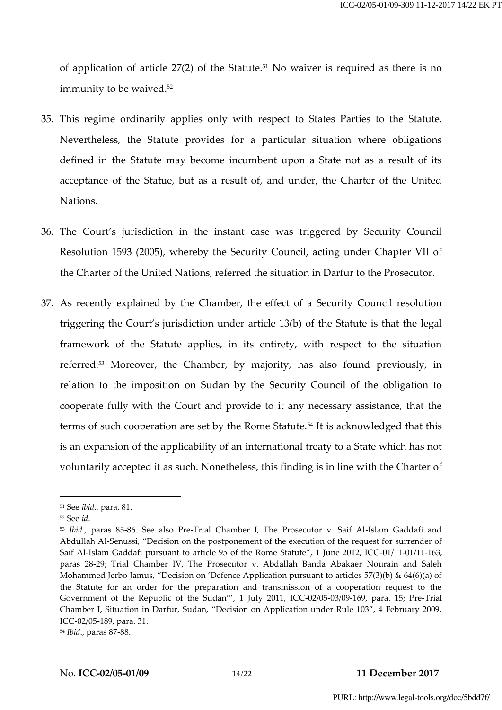of application of article  $27(2)$  of the Statute.<sup>51</sup> No waiver is required as there is no immunity to be waived. 52

- 35. This regime ordinarily applies only with respect to States Parties to the Statute. Nevertheless, the Statute provides for a particular situation where obligations defined in the Statute may become incumbent upon a State not as a result of its acceptance of the Statue, but as a result of, and under, the Charter of the United Nations.
- 36. The Court's jurisdiction in the instant case was triggered by Security Council Resolution 1593 (2005), whereby the Security Council, acting under Chapter VII of the Charter of the United Nations, referred the situation in Darfur to the Prosecutor.
- 37. As recently explained by the Chamber, the effect of a Security Council resolution triggering the Court's jurisdiction under article 13(b) of the Statute is that the legal framework of the Statute applies, in its entirety, with respect to the situation referred. <sup>53</sup> Moreover, the Chamber, by majority, has also found previously, in relation to the imposition on Sudan by the Security Council of the obligation to cooperate fully with the Court and provide to it any necessary assistance, that the terms of such cooperation are set by the Rome Statute.<sup>54</sup> It is acknowledged that this is an expansion of the applicability of an international treaty to a State which has not voluntarily accepted it as such. Nonetheless, this finding is in line with the Charter of

<sup>51</sup> See *ibid*., para. 81.

<sup>52</sup> See *id*.

<sup>53</sup> *Ibid.*, paras 85-86. See also Pre-Trial Chamber I, The Prosecutor v. Saif Al-Islam Gaddafi and Abdullah Al-Senussi, "Decision on the postponement of the execution of the request for surrender of Saif Al-Islam Gaddafi pursuant to article 95 of the Rome Statute", 1 June 2012, ICC-01/11-01/11-163, paras 28-29; Trial Chamber IV, The Prosecutor v. Abdallah Banda Abakaer Nourain and Saleh Mohammed Jerbo Jamus, "Decision on 'Defence Application pursuant to articles 57(3)(b) & 64(6)(a) of the Statute for an order for the preparation and transmission of a cooperation request to the Government of the Republic of the Sudan'", 1 July 2011, ICC-02/05-03/09-169, para. 15; Pre-Trial Chamber I, Situation in Darfur, Sudan, "Decision on Application under Rule 103", 4 February 2009, ICC-02/05-189, para. 31.

<sup>54</sup> *Ibid*., paras 87-88.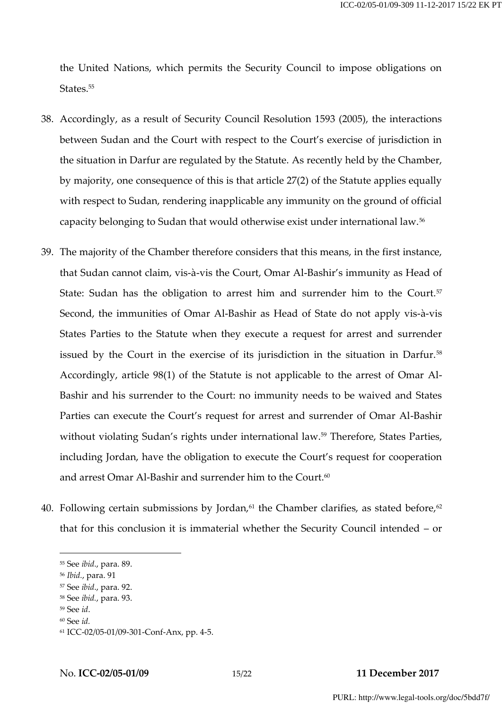the United Nations, which permits the Security Council to impose obligations on States.<sup>55</sup>

- 38. Accordingly, as a result of Security Council Resolution 1593 (2005), the interactions between Sudan and the Court with respect to the Court's exercise of jurisdiction in the situation in Darfur are regulated by the Statute. As recently held by the Chamber, by majority, one consequence of this is that article 27(2) of the Statute applies equally with respect to Sudan, rendering inapplicable any immunity on the ground of official capacity belonging to Sudan that would otherwise exist under international law.<sup>56</sup>
- 39. The majority of the Chamber therefore considers that this means, in the first instance, that Sudan cannot claim, vis-à-vis the Court, Omar Al-Bashir's immunity as Head of State: Sudan has the obligation to arrest him and surrender him to the Court.<sup>57</sup> Second, the immunities of Omar Al-Bashir as Head of State do not apply vis-à-vis States Parties to the Statute when they execute a request for arrest and surrender issued by the Court in the exercise of its jurisdiction in the situation in Darfur.<sup>58</sup> Accordingly, article 98(1) of the Statute is not applicable to the arrest of Omar Al-Bashir and his surrender to the Court: no immunity needs to be waived and States Parties can execute the Court's request for arrest and surrender of Omar Al-Bashir without violating Sudan's rights under international law.<sup>59</sup> Therefore, States Parties, including Jordan, have the obligation to execute the Court's request for cooperation and arrest Omar Al-Bashir and surrender him to the Court.<sup>60</sup>
- 40. Following certain submissions by Jordan, $61$  the Chamber clarifies, as stated before,  $62$ that for this conclusion it is immaterial whether the Security Council intended – or

<sup>57</sup> See *ibid*., para. 92.

<sup>55</sup> See *ibid*., para. 89.

<sup>56</sup> *Ibid.*, para. 91

<sup>58</sup> See *ibid.*, para. 93.

<sup>59</sup> See *id*.

<sup>60</sup> See *id.*

<sup>61</sup> ICC-02/05-01/09-301-Conf-Anx, pp. 4-5.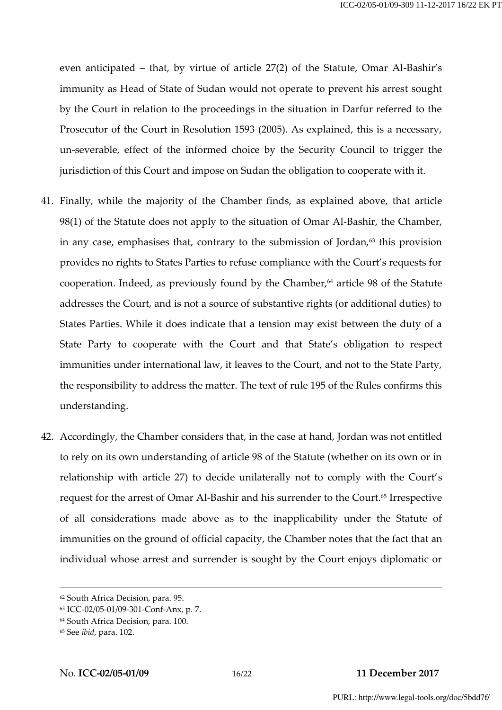even anticipated – that, by virtue of article 27(2) of the Statute, Omar Al-Bashir's immunity as Head of State of Sudan would not operate to prevent his arrest sought by the Court in relation to the proceedings in the situation in Darfur referred to the Prosecutor of the Court in Resolution 1593 (2005). As explained, this is a necessary, un-severable, effect of the informed choice by the Security Council to trigger the jurisdiction of this Court and impose on Sudan the obligation to cooperate with it.

- 41. Finally, while the majority of the Chamber finds, as explained above, that article 98(1) of the Statute does not apply to the situation of Omar Al-Bashir, the Chamber, in any case, emphasises that, contrary to the submission of Jordan, $63$  this provision provides no rights to States Parties to refuse compliance with the Court's requests for cooperation. Indeed, as previously found by the Chamber, $64$  article 98 of the Statute addresses the Court, and is not a source of substantive rights (or additional duties) to States Parties. While it does indicate that a tension may exist between the duty of a State Party to cooperate with the Court and that State's obligation to respect immunities under international law, it leaves to the Court, and not to the State Party, the responsibility to address the matter. The text of rule 195 of the Rules confirms this understanding.
- 42. Accordingly, the Chamber considers that, in the case at hand, Jordan was not entitled to rely on its own understanding of article 98 of the Statute (whether on its own or in relationship with article 27) to decide unilaterally not to comply with the Court's request for the arrest of Omar Al-Bashir and his surrender to the Court.<sup>65</sup> Irrespective of all considerations made above as to the inapplicability under the Statute of immunities on the ground of official capacity, the Chamber notes that the fact that an individual whose arrest and surrender is sought by the Court enjoys diplomatic or

<sup>62</sup> South Africa Decision, para. 95.

<sup>63</sup> ICC-02/05-01/09-301-Conf-Anx, p. 7.

<sup>64</sup> South Africa Decision, para. 100.

<sup>65</sup> See *ibid*, para. 102.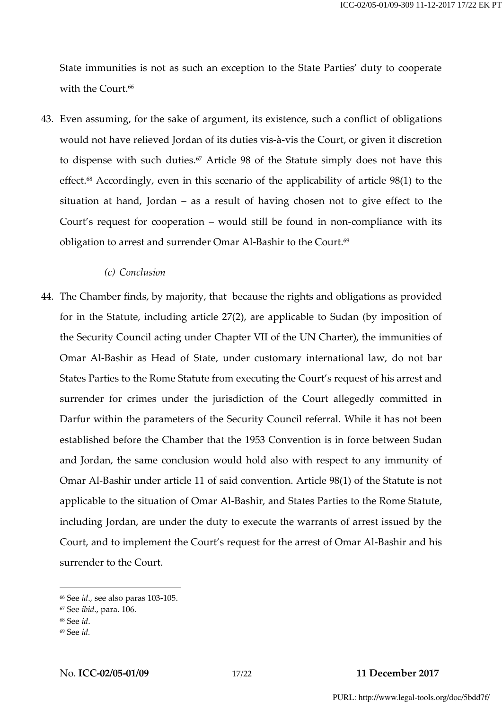State immunities is not as such an exception to the State Parties' duty to cooperate with the Court.<sup>66</sup>

43. Even assuming, for the sake of argument, its existence, such a conflict of obligations would not have relieved Jordan of its duties vis-à-vis the Court, or given it discretion to dispense with such duties.<sup>67</sup> Article 98 of the Statute simply does not have this effect.<sup>68</sup> Accordingly, even in this scenario of the applicability of article 98(1) to the situation at hand, Jordan – as a result of having chosen not to give effect to the Court's request for cooperation – would still be found in non-compliance with its obligation to arrest and surrender Omar Al-Bashir to the Court. 69

#### *(c) Conclusion*

44. The Chamber finds, by majority, that because the rights and obligations as provided for in the Statute, including article 27(2), are applicable to Sudan (by imposition of the Security Council acting under Chapter VII of the UN Charter), the immunities of Omar Al-Bashir as Head of State, under customary international law, do not bar States Parties to the Rome Statute from executing the Court's request of his arrest and surrender for crimes under the jurisdiction of the Court allegedly committed in Darfur within the parameters of the Security Council referral. While it has not been established before the Chamber that the 1953 Convention is in force between Sudan and Jordan, the same conclusion would hold also with respect to any immunity of Omar Al-Bashir under article 11 of said convention. Article 98(1) of the Statute is not applicable to the situation of Omar Al-Bashir, and States Parties to the Rome Statute, including Jordan, are under the duty to execute the warrants of arrest issued by the Court, and to implement the Court's request for the arrest of Omar Al-Bashir and his surrender to the Court.

<sup>66</sup> See *id*., see also paras 103-105.

<sup>67</sup> See *ibid*., para. 106.

<sup>68</sup> See *id*.

<sup>69</sup> See *id.*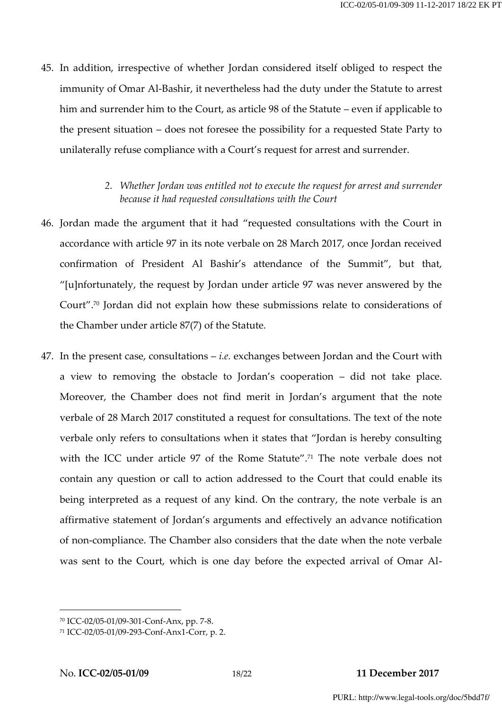45. In addition, irrespective of whether Jordan considered itself obliged to respect the immunity of Omar Al-Bashir, it nevertheless had the duty under the Statute to arrest him and surrender him to the Court, as article 98 of the Statute – even if applicable to the present situation – does not foresee the possibility for a requested State Party to unilaterally refuse compliance with a Court's request for arrest and surrender.

## *2. Whether Jordan was entitled not to execute the request for arrest and surrender because it had requested consultations with the Court*

- 46. Jordan made the argument that it had "requested consultations with the Court in accordance with article 97 in its note verbale on 28 March 2017, once Jordan received confirmation of President Al Bashir's attendance of the Summit", but that, "[u]nfortunately, the request by Jordan under article 97 was never answered by the Court".<sup>70</sup> Jordan did not explain how these submissions relate to considerations of the Chamber under article 87(7) of the Statute.
- 47. In the present case, consultations *i.e.* exchanges between Jordan and the Court with a view to removing the obstacle to Jordan's cooperation – did not take place. Moreover, the Chamber does not find merit in Jordan's argument that the note verbale of 28 March 2017 constituted a request for consultations. The text of the note verbale only refers to consultations when it states that "Jordan is hereby consulting with the ICC under article 97 of the Rome Statute".<sup>71</sup> The note verbale does not contain any question or call to action addressed to the Court that could enable its being interpreted as a request of any kind. On the contrary, the note verbale is an affirmative statement of Jordan's arguments and effectively an advance notification of non-compliance. The Chamber also considers that the date when the note verbale was sent to the Court, which is one day before the expected arrival of Omar Al-

<sup>70</sup> ICC-02/05-01/09-301-Conf-Anx, pp. 7-8.

<sup>71</sup> ICC-02/05-01/09-293-Conf-Anx1-Corr, p. 2.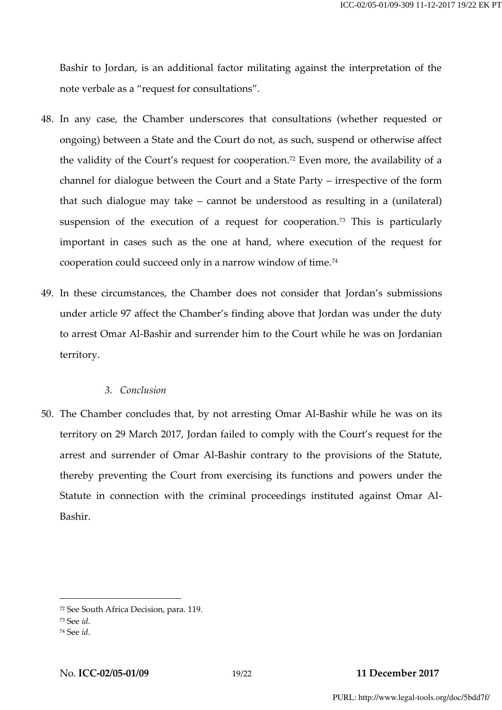Bashir to Jordan, is an additional factor militating against the interpretation of the note verbale as a "request for consultations".

- 48. In any case, the Chamber underscores that consultations (whether requested or ongoing) between a State and the Court do not, as such, suspend or otherwise affect the validity of the Court's request for cooperation.<sup>72</sup> Even more, the availability of a channel for dialogue between the Court and a State Party – irrespective of the form that such dialogue may take – cannot be understood as resulting in a (unilateral) suspension of the execution of a request for cooperation.<sup>73</sup> This is particularly important in cases such as the one at hand, where execution of the request for cooperation could succeed only in a narrow window of time.<sup>74</sup>
- 49. In these circumstances, the Chamber does not consider that Jordan's submissions under article 97 affect the Chamber's finding above that Jordan was under the duty to arrest Omar Al-Bashir and surrender him to the Court while he was on Jordanian territory.

#### *3. Conclusion*

50. The Chamber concludes that, by not arresting Omar Al-Bashir while he was on its territory on 29 March 2017, Jordan failed to comply with the Court's request for the arrest and surrender of Omar Al-Bashir contrary to the provisions of the Statute, thereby preventing the Court from exercising its functions and powers under the Statute in connection with the criminal proceedings instituted against Omar Al-Bashir.

<sup>72</sup> See South Africa Decision, para. 119.

<sup>73</sup> See *id*.

<sup>74</sup> See *id*.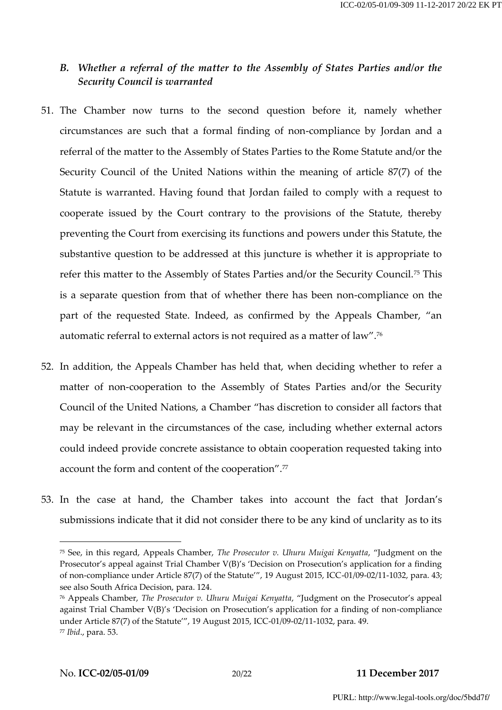## *B. Whether a referral of the matter to the Assembly of States Parties and/or the Security Council is warranted*

- 51. The Chamber now turns to the second question before it, namely whether circumstances are such that a formal finding of non-compliance by Jordan and a referral of the matter to the Assembly of States Parties to the Rome Statute and/or the Security Council of the United Nations within the meaning of article 87(7) of the Statute is warranted. Having found that Jordan failed to comply with a request to cooperate issued by the Court contrary to the provisions of the Statute, thereby preventing the Court from exercising its functions and powers under this Statute, the substantive question to be addressed at this juncture is whether it is appropriate to refer this matter to the Assembly of States Parties and/or the Security Council.<sup>75</sup> This is a separate question from that of whether there has been non-compliance on the part of the requested State. Indeed, as confirmed by the Appeals Chamber, "an automatic referral to external actors is not required as a matter of law".<sup>76</sup>
- 52. In addition, the Appeals Chamber has held that, when deciding whether to refer a matter of non-cooperation to the Assembly of States Parties and/or the Security Council of the United Nations, a Chamber "has discretion to consider all factors that may be relevant in the circumstances of the case, including whether external actors could indeed provide concrete assistance to obtain cooperation requested taking into account the form and content of the cooperation".<sup>77</sup>
- 53. In the case at hand, the Chamber takes into account the fact that Jordan's submissions indicate that it did not consider there to be any kind of unclarity as to its

<sup>75</sup> See, in this regard, Appeals Chamber, *The Prosecutor v. Uhuru Muigai Kenyatta*, "Judgment on the Prosecutor's appeal against Trial Chamber V(B)'s 'Decision on Prosecution's application for a finding of non-compliance under Article 87(7) of the Statute'", 19 August 2015, ICC-01/09-02/11-1032, para. 43; see also South Africa Decision, para. 124.

<sup>76</sup> Appeals Chamber, *The Prosecutor v. Uhuru Muigai Kenyatta*, "Judgment on the Prosecutor's appeal against Trial Chamber V(B)'s 'Decision on Prosecution's application for a finding of non-compliance under Article 87(7) of the Statute'", 19 August 2015, ICC-01/09-02/11-1032, para. 49. <sup>77</sup> *Ibid*., para. 53.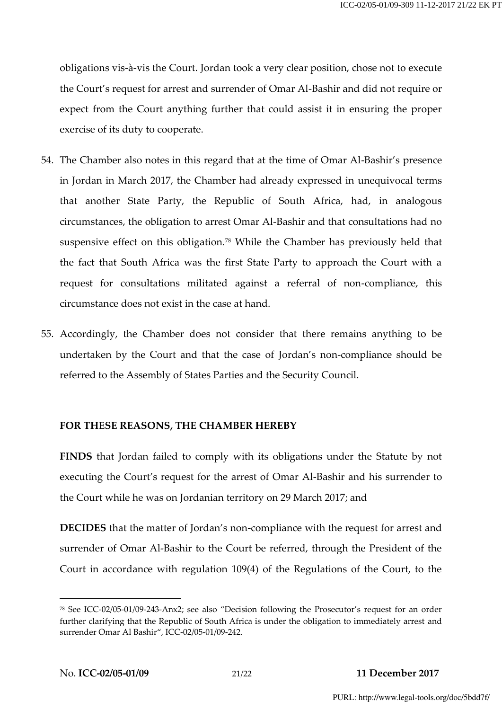obligations vis-à-vis the Court. Jordan took a very clear position, chose not to execute the Court's request for arrest and surrender of Omar Al-Bashir and did not require or expect from the Court anything further that could assist it in ensuring the proper exercise of its duty to cooperate.

- 54. The Chamber also notes in this regard that at the time of Omar Al-Bashir's presence in Jordan in March 2017, the Chamber had already expressed in unequivocal terms that another State Party, the Republic of South Africa, had, in analogous circumstances, the obligation to arrest Omar Al-Bashir and that consultations had no suspensive effect on this obligation.<sup>78</sup> While the Chamber has previously held that the fact that South Africa was the first State Party to approach the Court with a request for consultations militated against a referral of non-compliance, this circumstance does not exist in the case at hand.
- 55. Accordingly, the Chamber does not consider that there remains anything to be undertaken by the Court and that the case of Jordan's non-compliance should be referred to the Assembly of States Parties and the Security Council.

## **FOR THESE REASONS, THE CHAMBER HEREBY**

**FINDS** that Jordan failed to comply with its obligations under the Statute by not executing the Court's request for the arrest of Omar Al-Bashir and his surrender to the Court while he was on Jordanian territory on 29 March 2017; and

**DECIDES** that the matter of Jordan's non-compliance with the request for arrest and surrender of Omar Al-Bashir to the Court be referred, through the President of the Court in accordance with regulation 109(4) of the Regulations of the Court, to the

<sup>78</sup> See ICC-02/05-01/09-243-Anx2; see also "Decision following the Prosecutor's request for an order further clarifying that the Republic of South Africa is under the obligation to immediately arrest and surrender Omar Al Bashir", ICC-02/05-01/09-242.